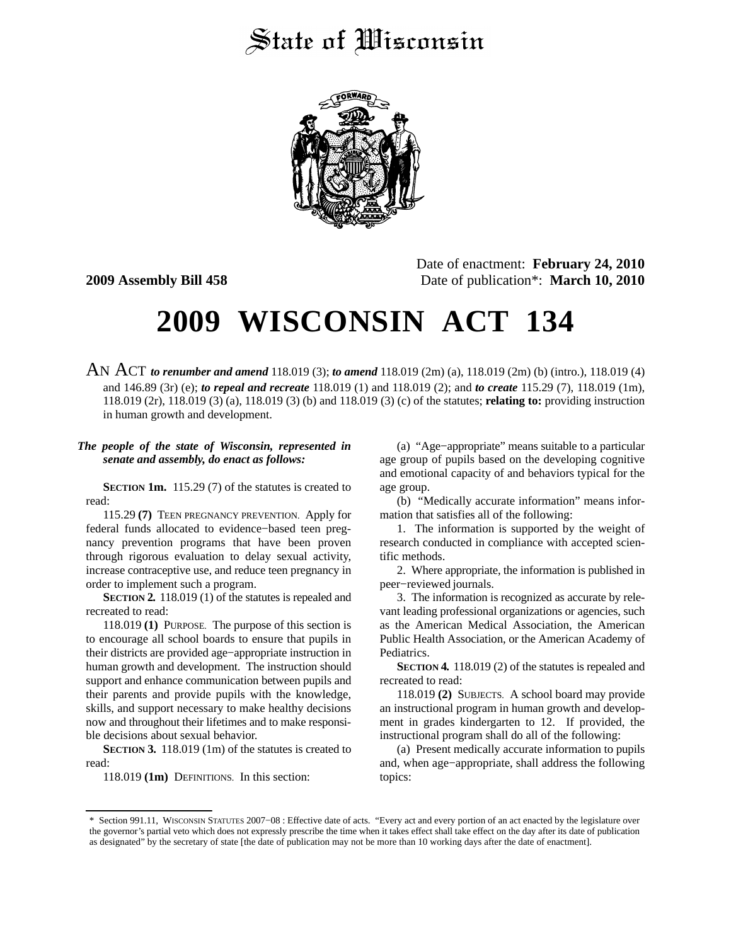## State of Wisconsin



Date of enactment: **February 24, 2010 2009 Assembly Bill 458** Date of publication\*: **March 10, 2010**

## **2009 WISCONSIN ACT 134**

AN ACT *to renumber and amend* 118.019 (3); *to amend* 118.019 (2m) (a), 118.019 (2m) (b) (intro.), 118.019 (4) and 146.89 (3r) (e); *to repeal and recreate* 118.019 (1) and 118.019 (2); and *to create* 115.29 (7), 118.019 (1m), 118.019 (2r), 118.019 (3) (a), 118.019 (3) (b) and 118.019 (3) (c) of the statutes; **relating to:** providing instruction in human growth and development.

## *The people of the state of Wisconsin, represented in senate and assembly, do enact as follows:*

**SECTION 1m.** 115.29 (7) of the statutes is created to read:

115.29 **(7)** TEEN PREGNANCY PREVENTION. Apply for federal funds allocated to evidence−based teen pregnancy prevention programs that have been proven through rigorous evaluation to delay sexual activity, increase contraceptive use, and reduce teen pregnancy in order to implement such a program.

**SECTION 2.** 118.019 (1) of the statutes is repealed and recreated to read:

118.019 **(1)** PURPOSE. The purpose of this section is to encourage all school boards to ensure that pupils in their districts are provided age−appropriate instruction in human growth and development. The instruction should support and enhance communication between pupils and their parents and provide pupils with the knowledge, skills, and support necessary to make healthy decisions now and throughout their lifetimes and to make responsible decisions about sexual behavior.

**SECTION 3.** 118.019 (1m) of the statutes is created to read:

118.019 **(1m)** DEFINITIONS. In this section:

(a) "Age−appropriate" means suitable to a particular age group of pupils based on the developing cognitive and emotional capacity of and behaviors typical for the age group.

(b) "Medically accurate information" means information that satisfies all of the following:

1. The information is supported by the weight of research conducted in compliance with accepted scientific methods.

2. Where appropriate, the information is published in peer−reviewed journals.

3. The information is recognized as accurate by relevant leading professional organizations or agencies, such as the American Medical Association, the American Public Health Association, or the American Academy of Pediatrics.

**SECTION 4.** 118.019 (2) of the statutes is repealed and recreated to read:

118.019 **(2)** SUBJECTS. A school board may provide an instructional program in human growth and development in grades kindergarten to 12. If provided, the instructional program shall do all of the following:

(a) Present medically accurate information to pupils and, when age−appropriate, shall address the following topics:

<sup>\*</sup> Section 991.11, WISCONSIN STATUTES 2007−08 : Effective date of acts. "Every act and every portion of an act enacted by the legislature over the governor's partial veto which does not expressly prescribe the time when it takes effect shall take effect on the day after its date of publication as designated" by the secretary of state [the date of publication may not be more than 10 working days after the date of enactment].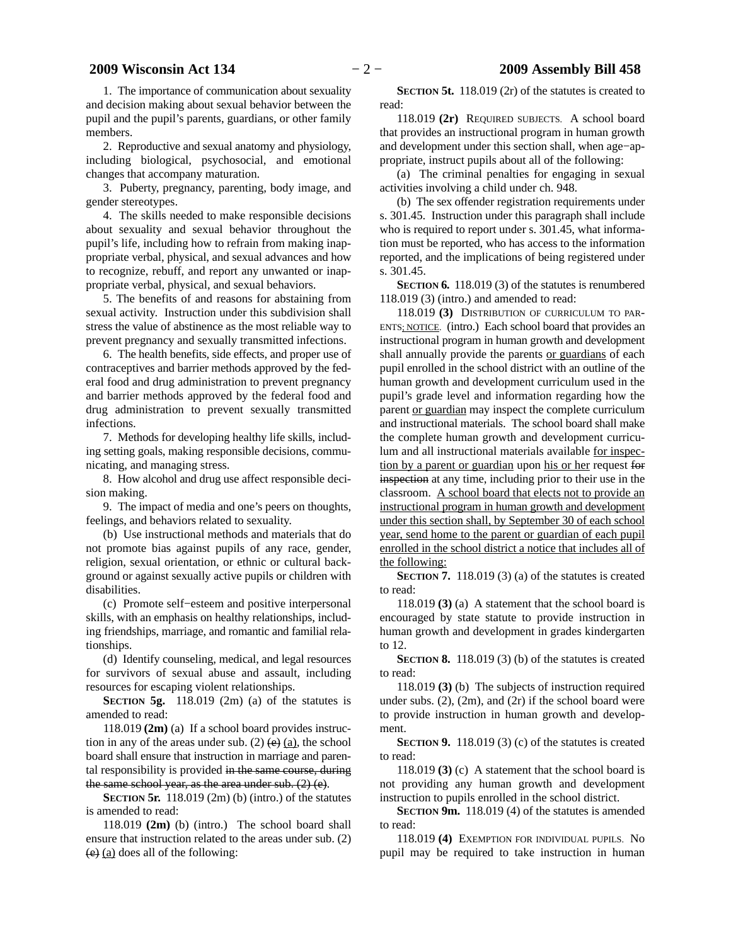1. The importance of communication about sexuality and decision making about sexual behavior between the pupil and the pupil's parents, guardians, or other family members.

2. Reproductive and sexual anatomy and physiology, including biological, psychosocial, and emotional changes that accompany maturation.

3. Puberty, pregnancy, parenting, body image, and gender stereotypes.

4. The skills needed to make responsible decisions about sexuality and sexual behavior throughout the pupil's life, including how to refrain from making inappropriate verbal, physical, and sexual advances and how to recognize, rebuff, and report any unwanted or inappropriate verbal, physical, and sexual behaviors.

5. The benefits of and reasons for abstaining from sexual activity. Instruction under this subdivision shall stress the value of abstinence as the most reliable way to prevent pregnancy and sexually transmitted infections.

6. The health benefits, side effects, and proper use of contraceptives and barrier methods approved by the federal food and drug administration to prevent pregnancy and barrier methods approved by the federal food and drug administration to prevent sexually transmitted infections.

7. Methods for developing healthy life skills, including setting goals, making responsible decisions, communicating, and managing stress.

8. How alcohol and drug use affect responsible decision making.

9. The impact of media and one's peers on thoughts, feelings, and behaviors related to sexuality.

(b) Use instructional methods and materials that do not promote bias against pupils of any race, gender, religion, sexual orientation, or ethnic or cultural background or against sexually active pupils or children with disabilities.

(c) Promote self−esteem and positive interpersonal skills, with an emphasis on healthy relationships, including friendships, marriage, and romantic and familial relationships.

(d) Identify counseling, medical, and legal resources for survivors of sexual abuse and assault, including resources for escaping violent relationships.

**SECTION 5g.** 118.019 (2m) (a) of the statutes is amended to read:

118.019 **(2m)** (a) If a school board provides instruction in any of the areas under sub. (2)  $(e)$  (a), the school board shall ensure that instruction in marriage and parental responsibility is provided in the same course, during the same school year, as the area under sub. (2) (e).

**SECTION 5r.** 118.019 (2m) (b) (intro.) of the statutes is amended to read:

118.019 **(2m)** (b) (intro.) The school board shall ensure that instruction related to the areas under sub. (2) (e) (a) does all of the following:

**SECTION 5t.** 118.019 (2r) of the statutes is created to read:

118.019 **(2r)** REQUIRED SUBJECTS. A school board that provides an instructional program in human growth and development under this section shall, when age−appropriate, instruct pupils about all of the following:

(a) The criminal penalties for engaging in sexual activities involving a child under ch. 948.

(b) The sex offender registration requirements under s. 301.45. Instruction under this paragraph shall include who is required to report under s. 301.45, what information must be reported, who has access to the information reported, and the implications of being registered under s. 301.45.

**SECTION 6.** 118.019 (3) of the statutes is renumbered 118.019 (3) (intro.) and amended to read:

118.019 **(3)** DISTRIBUTION OF CURRICULUM TO PAR-ENTS; NOTICE. (intro.) Each school board that provides an instructional program in human growth and development shall annually provide the parents or guardians of each pupil enrolled in the school district with an outline of the human growth and development curriculum used in the pupil's grade level and information regarding how the parent or guardian may inspect the complete curriculum and instructional materials. The school board shall make the complete human growth and development curriculum and all instructional materials available for inspection by a parent or guardian upon his or her request for inspection at any time, including prior to their use in the classroom. A school board that elects not to provide an instructional program in human growth and development under this section shall, by September 30 of each school year, send home to the parent or guardian of each pupil enrolled in the school district a notice that includes all of the following:

**SECTION 7.** 118.019 (3) (a) of the statutes is created to read:

118.019 **(3)** (a) A statement that the school board is encouraged by state statute to provide instruction in human growth and development in grades kindergarten to 12.

**SECTION 8.** 118.019 (3) (b) of the statutes is created to read:

118.019 **(3)** (b) The subjects of instruction required under subs.  $(2)$ ,  $(2m)$ , and  $(2r)$  if the school board were to provide instruction in human growth and development.

**SECTION 9.** 118.019 (3) (c) of the statutes is created to read:

118.019 **(3)** (c) A statement that the school board is not providing any human growth and development instruction to pupils enrolled in the school district.

**SECTION 9m.** 118.019 (4) of the statutes is amended to read:

118.019 **(4)** EXEMPTION FOR INDIVIDUAL PUPILS. No pupil may be required to take instruction in human